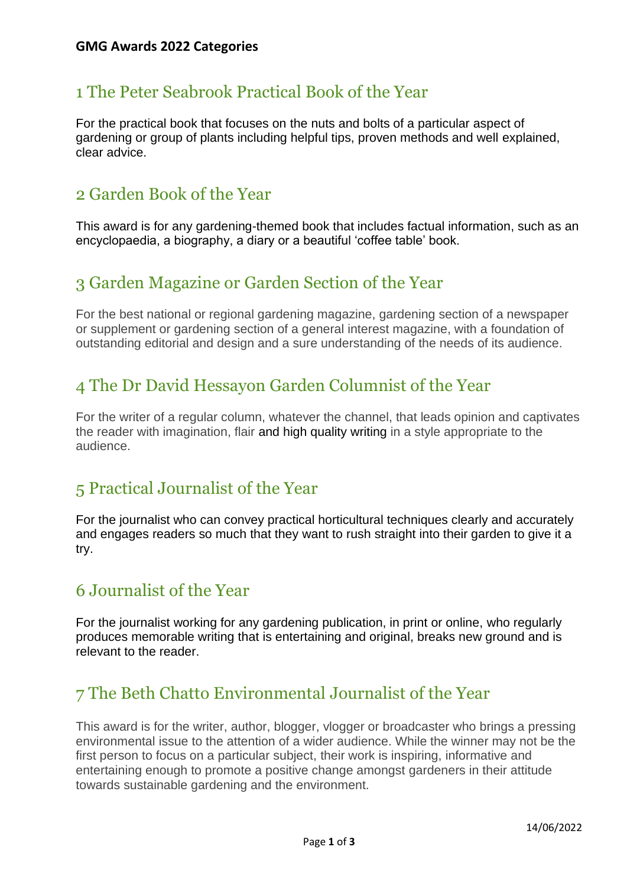# 1 The Peter Seabrook Practical Book of the Year

For the practical book that focuses on the nuts and bolts of a particular aspect of gardening or group of plants including helpful tips, proven methods and well explained, clear advice.

# 2 Garden Book of the Year

This award is for any gardening-themed book that includes factual information, such as an encyclopaedia, a biography, a diary or a beautiful 'coffee table' book.

# 3 Garden Magazine or Garden Section of the Year

For the best national or regional gardening magazine, gardening section of a newspaper or supplement or gardening section of a general interest magazine, with a foundation of outstanding editorial and design and a sure understanding of the needs of its audience.

# 4 The Dr David Hessayon Garden Columnist of the Year

For the writer of a regular column, whatever the channel, that leads opinion and captivates the reader with imagination, flair and high quality writing in a style appropriate to the audience.

# 5 Practical Journalist of the Year

For the journalist who can convey practical horticultural techniques clearly and accurately and engages readers so much that they want to rush straight into their garden to give it a try.

# 6 Journalist of the Year

For the journalist working for any gardening publication, in print or online, who regularly produces memorable writing that is entertaining and original, breaks new ground and is relevant to the reader.

# 7 The Beth Chatto Environmental Journalist of the Year

This award is for the writer, author, blogger, vlogger or broadcaster who brings a pressing environmental issue to the attention of a wider audience. While the winner may not be the first person to focus on a particular subject, their work is inspiring, informative and entertaining enough to promote a positive change amongst gardeners in their attitude towards sustainable gardening and the environment.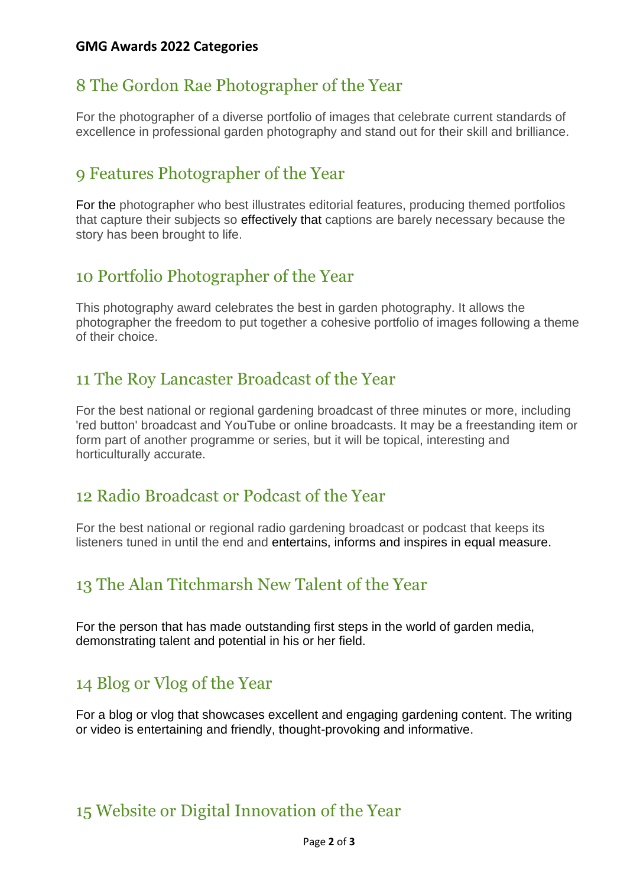#### **GMG Awards 2022 Categories**

### 8 The Gordon Rae Photographer of the Year

For the photographer of a diverse portfolio of images that celebrate current standards of excellence in professional garden photography and stand out for their skill and brilliance.

#### 9 Features Photographer of the Year

For the photographer who best illustrates editorial features, producing themed portfolios that capture their subjects so effectively that captions are barely necessary because the story has been brought to life.

#### 10 Portfolio Photographer of the Year

This photography award celebrates the best in garden photography. It allows the photographer the freedom to put together a cohesive portfolio of images following a theme of their choice.

### 11 The Roy Lancaster Broadcast of the Year

For the best national or regional gardening broadcast of three minutes or more, including 'red button' broadcast and YouTube or online broadcasts. It may be a freestanding item or form part of another programme or series, but it will be topical, interesting and horticulturally accurate.

#### 12 Radio Broadcast or Podcast of the Year

For the best national or regional radio gardening broadcast or podcast that keeps its listeners tuned in until the end and entertains, informs and inspires in equal measure.

# 13 The Alan Titchmarsh New Talent of the Year

For the person that has made outstanding first steps in the world of garden media, demonstrating talent and potential in his or her field.

#### 14 Blog or Vlog of the Year

For a blog or vlog that showcases excellent and engaging gardening content. The writing or video is entertaining and friendly, thought-provoking and informative.

# 15 Website or Digital Innovation of the Year